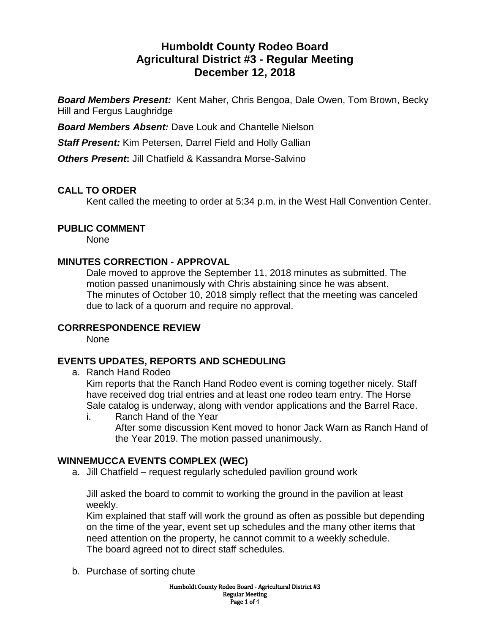# **Humboldt County Rodeo Board Agricultural District #3 - Regular Meeting December 12, 2018**

*Board Members Present:* Kent Maher, Chris Bengoa, Dale Owen, Tom Brown, Becky Hill and Fergus Laughridge

*Board Members Absent:* Dave Louk and Chantelle Nielson

*Staff Present:* Kim Petersen, Darrel Field and Holly Gallian

*Others Present*: Jill Chatfield & Kassandra Morse-Salvino

## **CALL TO ORDER**

Kent called the meeting to order at 5:34 p.m. in the West Hall Convention Center.

## **PUBLIC COMMENT**

None

### **MINUTES CORRECTION - APPROVAL**

Dale moved to approve the September 11, 2018 minutes as submitted. The motion passed unanimously with Chris abstaining since he was absent. The minutes of October 10, 2018 simply reflect that the meeting was canceled due to lack of a quorum and require no approval.

## **CORRRESPONDENCE REVIEW**

None

## **EVENTS UPDATES, REPORTS AND SCHEDULING**

a. Ranch Hand Rodeo

Kim reports that the Ranch Hand Rodeo event is coming together nicely. Staff have received dog trial entries and at least one rodeo team entry. The Horse Sale catalog is underway, along with vendor applications and the Barrel Race.

i. Ranch Hand of the Year After some discussion Kent moved to honor Jack Warn as Ranch Hand of the Year 2019. The motion passed unanimously.

## **WINNEMUCCA EVENTS COMPLEX (WEC)**

a. Jill Chatfield – request regularly scheduled pavilion ground work

Jill asked the board to commit to working the ground in the pavilion at least weekly.

Kim explained that staff will work the ground as often as possible but depending on the time of the year, event set up schedules and the many other items that need attention on the property, he cannot commit to a weekly schedule. The board agreed not to direct staff schedules.

b. Purchase of sorting chute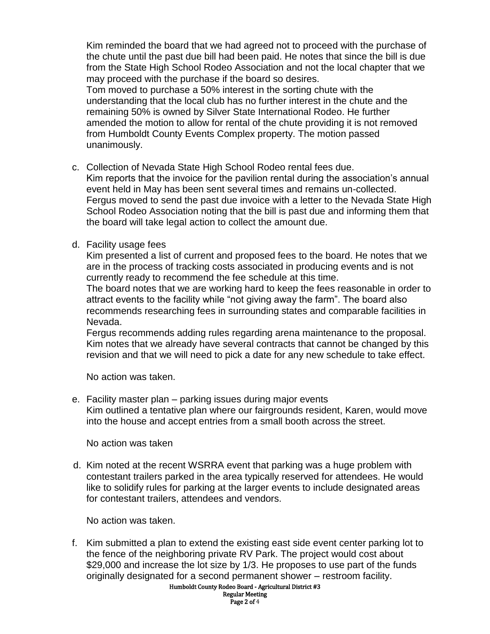Kim reminded the board that we had agreed not to proceed with the purchase of the chute until the past due bill had been paid. He notes that since the bill is due from the State High School Rodeo Association and not the local chapter that we may proceed with the purchase if the board so desires.

Tom moved to purchase a 50% interest in the sorting chute with the understanding that the local club has no further interest in the chute and the remaining 50% is owned by Silver State International Rodeo. He further amended the motion to allow for rental of the chute providing it is not removed from Humboldt County Events Complex property. The motion passed unanimously.

c. Collection of Nevada State High School Rodeo rental fees due.

Kim reports that the invoice for the pavilion rental during the association's annual event held in May has been sent several times and remains un-collected. Fergus moved to send the past due invoice with a letter to the Nevada State High School Rodeo Association noting that the bill is past due and informing them that the board will take legal action to collect the amount due.

d. Facility usage fees

Kim presented a list of current and proposed fees to the board. He notes that we are in the process of tracking costs associated in producing events and is not currently ready to recommend the fee schedule at this time.

The board notes that we are working hard to keep the fees reasonable in order to attract events to the facility while "not giving away the farm". The board also recommends researching fees in surrounding states and comparable facilities in Nevada.

Fergus recommends adding rules regarding arena maintenance to the proposal. Kim notes that we already have several contracts that cannot be changed by this revision and that we will need to pick a date for any new schedule to take effect.

No action was taken.

e. Facility master plan – parking issues during major events Kim outlined a tentative plan where our fairgrounds resident, Karen, would move into the house and accept entries from a small booth across the street.

No action was taken

d. Kim noted at the recent WSRRA event that parking was a huge problem with contestant trailers parked in the area typically reserved for attendees. He would like to solidify rules for parking at the larger events to include designated areas for contestant trailers, attendees and vendors.

No action was taken.

f. Kim submitted a plan to extend the existing east side event center parking lot to the fence of the neighboring private RV Park. The project would cost about \$29,000 and increase the lot size by 1/3. He proposes to use part of the funds originally designated for a second permanent shower – restroom facility.

Humboldt County Rodeo Board - Agricultural District #3 Regular Meeting Page 2 of 4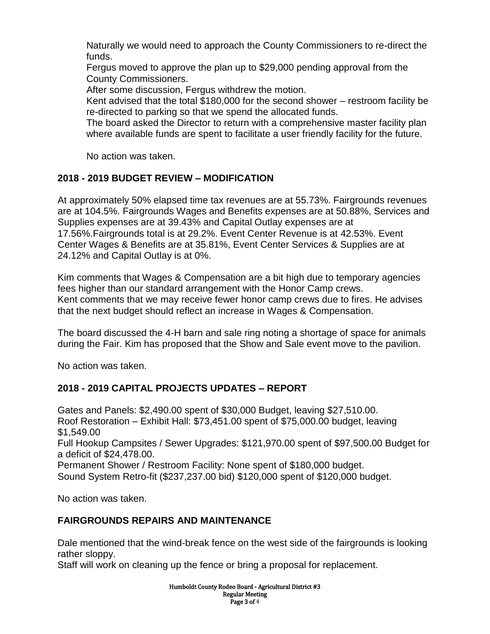Naturally we would need to approach the County Commissioners to re-direct the funds.

Fergus moved to approve the plan up to \$29,000 pending approval from the County Commissioners.

After some discussion, Fergus withdrew the motion.

Kent advised that the total \$180,000 for the second shower – restroom facility be re-directed to parking so that we spend the allocated funds.

The board asked the Director to return with a comprehensive master facility plan where available funds are spent to facilitate a user friendly facility for the future.

No action was taken.

## **2018 - 2019 BUDGET REVIEW – MODIFICATION**

At approximately 50% elapsed time tax revenues are at 55.73%. Fairgrounds revenues are at 104.5%. Fairgrounds Wages and Benefits expenses are at 50.88%, Services and Supplies expenses are at 39.43% and Capital Outlay expenses are at 17.56%.Fairgrounds total is at 29.2%. Event Center Revenue is at 42.53%. Event Center Wages & Benefits are at 35.81%, Event Center Services & Supplies are at 24.12% and Capital Outlay is at 0%.

Kim comments that Wages & Compensation are a bit high due to temporary agencies fees higher than our standard arrangement with the Honor Camp crews. Kent comments that we may receive fewer honor camp crews due to fires. He advises that the next budget should reflect an increase in Wages & Compensation.

The board discussed the 4-H barn and sale ring noting a shortage of space for animals during the Fair. Kim has proposed that the Show and Sale event move to the pavilion.

No action was taken.

## **2018 - 2019 CAPITAL PROJECTS UPDATES – REPORT**

Gates and Panels: \$2,490.00 spent of \$30,000 Budget, leaving \$27,510.00. Roof Restoration – Exhibit Hall: \$73,451.00 spent of \$75,000.00 budget, leaving \$1,549.00 Full Hookup Campsites / Sewer Upgrades: \$121,970.00 spent of \$97,500.00 Budget for a deficit of \$24,478.00. Permanent Shower / Restroom Facility: None spent of \$180,000 budget. Sound System Retro-fit (\$237,237.00 bid) \$120,000 spent of \$120,000 budget.

No action was taken.

## **FAIRGROUNDS REPAIRS AND MAINTENANCE**

Dale mentioned that the wind-break fence on the west side of the fairgrounds is looking rather sloppy.

Staff will work on cleaning up the fence or bring a proposal for replacement.

Humboldt County Rodeo Board - Agricultural District #3 Regular Meeting Page 3 of 4